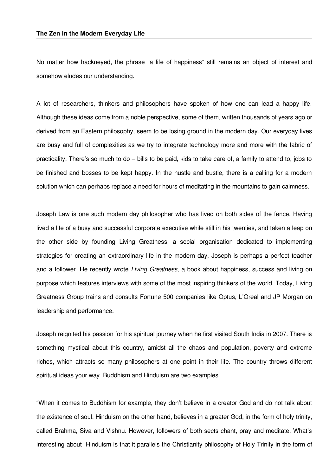No matter how hackneyed, the phrase "a life of happiness" still remains an object of interest and somehow eludes our understanding.

A lot of researchers, thinkers and philosophers have spoken of how one can lead a happy life. Although these ideas come from a noble perspective, some of them, written thousands of years ago or derived from an Eastern philosophy, seem to be losing ground in the modern day. Our everyday lives are busy and full of complexities as we try to integrate technology more and more with the fabric of practicality. There's so much to do – bills to be paid, kids to take care of, a family to attend to, jobs to be finished and bosses to be kept happy. In the hustle and bustle, there is a calling for a modern solution which can perhaps replace a need for hours of meditating in the mountains to gain calmness.

Joseph Law is one such modern day philosopher who has lived on both sides of the fence. Having lived a life of a busy and successful corporate executive while still in his twenties, and taken a leap on the other side by founding Living Greatness, a social organisation dedicated to implementing strategies for creating an extraordinary life in the modern day, Joseph is perhaps a perfect teacher and a follower. He recently wrote *Living Greatness,* a book about happiness, success and living on purpose which features interviews with some of the most inspiring thinkers of the world. Today, Living Greatness Group trains and consults Fortune 500 companies like Optus, L'Oreal and JP Morgan on leadership and performance.

Joseph reignited his passion for his spiritual journey when he first visited South India in 2007. There is something mystical about this country, amidst all the chaos and population, poverty and extreme riches, which attracts so many philosophers at one point in their life. The country throws different spiritual ideas your way. Buddhism and Hinduism are two examples.

"When it comes to Buddhism for example, they don't believe in a creator God and do not talk about the existence of soul. Hinduism on the other hand, believes in a greater God, in the form of holy trinity, called Brahma, Siva and Vishnu. However, followers of both sects chant, pray and meditate. What's interesting about Hinduism is that it parallels the Christianity philosophy of Holy Trinity in the form of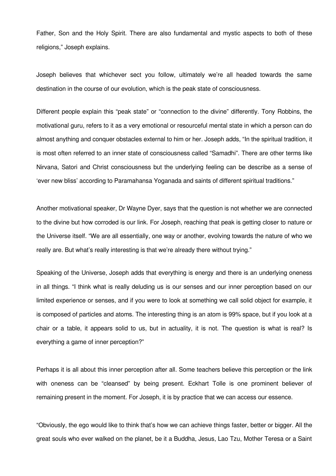Father, Son and the Holy Spirit. There are also fundamental and mystic aspects to both of these religions," Joseph explains.

Joseph believes that whichever sect you follow, ultimately we're all headed towards the same destination in the course of our evolution, which is the peak state of consciousness.

Different people explain this "peak state" or "connection to the divine" differently. Tony Robbins, the motivational guru, refers to it as a very emotional or resourceful mental state in which a person can do almost anything and conquer obstacles external to him or her. Joseph adds, "In the spiritual tradition, it is most often referred to an inner state of consciousness called "Samadhi". There are other terms like Nirvana, Satori and Christ consciousness but the underlying feeling can be describe as a sense of 'ever new bliss' according to Paramahansa Yoganada and saints of different spiritual traditions."

Another motivational speaker, Dr Wayne Dyer, says that the question is not whether we are connected to the divine but how corroded is our link. For Joseph, reaching that peak is getting closer to nature or the Universe itself. "We are all essentially, one way or another, evolving towards the nature of who we really are. But what's really interesting is that we're already there without trying."

Speaking of the Universe, Joseph adds that everything is energy and there is an underlying oneness in all things. "I think what is really deluding us is our senses and our inner perception based on our limited experience or senses, and if you were to look at something we call solid object for example, it is composed of particles and atoms. The interesting thing is an atom is 99% space, but if you look at a chair or a table, it appears solid to us, but in actuality, it is not. The question is what is real? Is everything a game of inner perception?"

Perhaps it is all about this inner perception after all. Some teachers believe this perception or the link with oneness can be "cleansed" by being present. Eckhart Tolle is one prominent believer of remaining present in the moment. For Joseph, it is by practice that we can access our essence.

"Obviously, the ego would like to think that's how we can achieve things faster, better or bigger. All the great souls who ever walked on the planet, be it a Buddha, Jesus, Lao Tzu, Mother Teresa or a Saint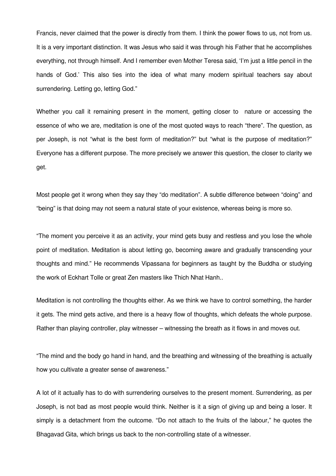Francis, never claimed that the power is directly from them. I think the power flows to us, not from us. It is a very important distinction. It was Jesus who said it was through his Father that he accomplishes everything, not through himself. And I remember even Mother Teresa said, 'I'm just a little pencil in the hands of God.' This also ties into the idea of what many modern spiritual teachers say about surrendering. Letting go, letting God."

Whether you call it remaining present in the moment, getting closer to nature or accessing the essence of who we are, meditation is one of the most quoted ways to reach "there". The question, as per Joseph, is not "what is the best form of meditation?" but "what is the purpose of meditation?" Everyone has a different purpose. The more precisely we answer this question, the closer to clarity we get.

Most people get it wrong when they say they "do meditation". A subtle difference between "doing" and "being" is that doing may not seem a natural state of your existence, whereas being is more so.

"The moment you perceive it as an activity, your mind gets busy and restless and you lose the whole point of meditation. Meditation is about letting go, becoming aware and gradually transcending your thoughts and mind." He recommends Vipassana for beginners as taught by the Buddha or studying the work of Eckhart Tolle or great Zen masters like Thich Nhat Hanh..

Meditation is not controlling the thoughts either. As we think we have to control something, the harder it gets. The mind gets active, and there is a heavy flow of thoughts, which defeats the whole purpose. Rather than playing controller, play witnesser – witnessing the breath as it flows in and moves out.

"The mind and the body go hand in hand, and the breathing and witnessing of the breathing is actually how you cultivate a greater sense of awareness."

A lot of it actually has to do with surrendering ourselves to the present moment. Surrendering, as per Joseph, is not bad as most people would think. Neither is it a sign of giving up and being a loser. It simply is a detachment from the outcome. "Do not attach to the fruits of the labour," he quotes the Bhagavad Gita, which brings us back to the non-controlling state of a witnesser.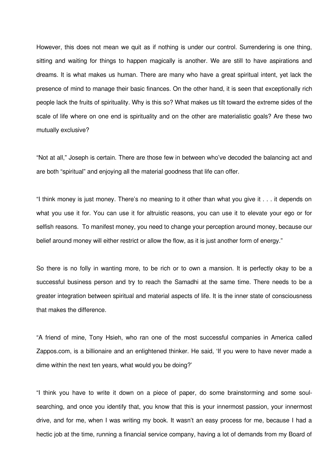However, this does not mean we quit as if nothing is under our control. Surrendering is one thing, sitting and waiting for things to happen magically is another. We are still to have aspirations and dreams. It is what makes us human. There are many who have a great spiritual intent, yet lack the presence of mind to manage their basic finances. On the other hand, it is seen that exceptionally rich people lack the fruits of spirituality. Why is this so? What makes us tilt toward the extreme sides of the scale of life where on one end is spirituality and on the other are materialistic goals? Are these two mutually exclusive?

"Not at all," Joseph is certain. There are those few in between who've decoded the balancing act and are both "spiritual" and enjoying all the material goodness that life can offer.

"I think money is just money. There's no meaning to it other than what you give it . . . it depends on what you use it for. You can use it for altruistic reasons, you can use it to elevate your ego or for selfish reasons. To manifest money, you need to change your perception around money, because our belief around money will either restrict or allow the flow, as it is just another form of energy."

So there is no folly in wanting more, to be rich or to own a mansion. It is perfectly okay to be a successful business person and try to reach the Samadhi at the same time. There needs to be a greater integration between spiritual and material aspects of life. It is the inner state of consciousness that makes the difference.

"A friend of mine, Tony Hsieh, who ran one of the most successful companies in America called Zappos.com, is a billionaire and an enlightened thinker. He said, 'If you were to have never made a dime within the next ten years, what would you be doing?'

"I think you have to write it down on a piece of paper, do some brainstorming and some soulsearching, and once you identify that, you know that this is your innermost passion, your innermost drive, and for me, when I was writing my book. It wasn't an easy process for me, because I had a hectic job at the time, running a financial service company, having a lot of demands from my Board of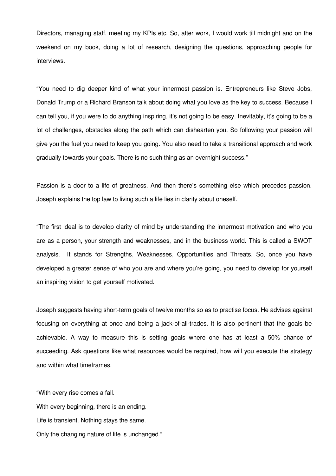Directors, managing staff, meeting my KPIs etc. So, after work, I would work till midnight and on the weekend on my book, doing a lot of research, designing the questions, approaching people for interviews.

"You need to dig deeper kind of what your innermost passion is. Entrepreneurs like Steve Jobs, Donald Trump or a Richard Branson talk about doing what you love as the key to success. Because I can tell you, if you were to do anything inspiring, it's not going to be easy. Inevitably, it's going to be a lot of challenges, obstacles along the path which can dishearten you. So following your passion will give you the fuel you need to keep you going. You also need to take a transitional approach and work gradually towards your goals. There is no such thing as an overnight success."

Passion is a door to a life of greatness. And then there's something else which precedes passion. Joseph explains the top law to living such a life lies in clarity about oneself.

"The first ideal is to develop clarity of mind by understanding the innermost motivation and who you are as a person, your strength and weaknesses, and in the business world. This is called a SWOT analysis. It stands for Strengths, Weaknesses, Opportunities and Threats. So, once you have developed a greater sense of who you are and where you're going, you need to develop for yourself an inspiring vision to get yourself motivated.

Joseph suggests having short-term goals of twelve months so as to practise focus. He advises against focusing on everything at once and being a jack-of-all-trades. It is also pertinent that the goals be achievable. A way to measure this is setting goals where one has at least a 50% chance of succeeding. Ask questions like what resources would be required, how will you execute the strategy and within what timeframes.

"With every rise comes a fall. With every beginning, there is an ending. Life is transient. Nothing stays the same. Only the changing nature of life is unchanged."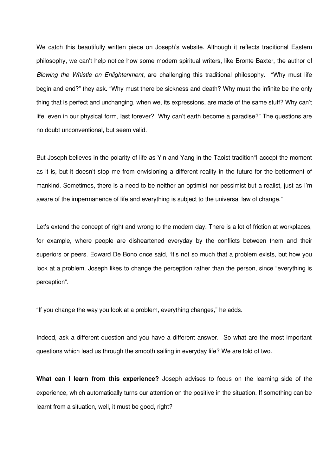We catch this beautifully written piece on Joseph's website. Although it reflects traditional Eastern philosophy, we can't help notice how some modern spiritual writers, like Bronte Baxter, the author of *Blowing the Whistle on Enlightenment*, are challenging this traditional philosophy. "Why must life begin and end?" they ask. "Why must there be sickness and death? Why must the infinite be the only thing that is perfect and unchanging, when we, its expressions, are made of the same stuff? Why can't life, even in our physical form, last forever? Why can't earth become a paradise?" The questions are no doubt unconventional, but seem valid.

But Joseph believes in the polarity of life as Yin and Yang in the Taoist tradition"I accept the moment as it is, but it doesn't stop me from envisioning a different reality in the future for the betterment of mankind. Sometimes, there is a need to be neither an optimist nor pessimist but a realist, just as I'm aware of the impermanence of life and everything is subject to the universal law of change."

Let's extend the concept of right and wrong to the modern day. There is a lot of friction at workplaces, for example, where people are disheartened everyday by the conflicts between them and their superiors or peers. Edward De Bono once said, 'It's not so much that a problem exists, but how you look at a problem. Joseph likes to change the perception rather than the person, since "everything is perception".

"If you change the way you look at a problem, everything changes," he adds.

Indeed, ask a different question and you have a different answer. So what are the most important questions which lead us through the smooth sailing in everyday life? We are told of two.

**What can I learn from this experience?** Joseph advises to focus on the learning side of the experience, which automatically turns our attention on the positive in the situation. If something can be learnt from a situation, well, it must be good, right?